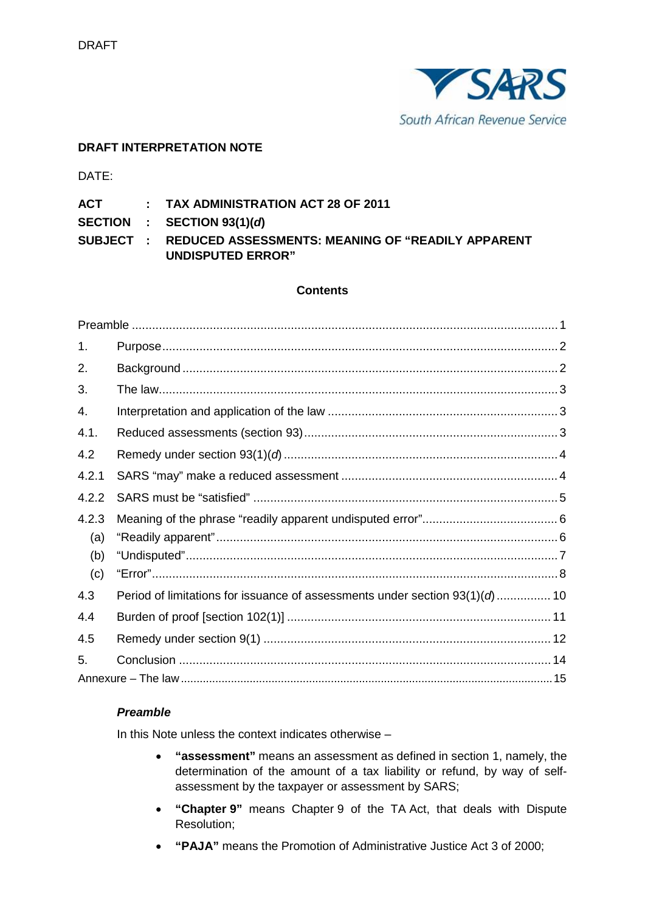

# **DRAFT INTERPRETATION NOTE**

DATE:

**ACT : TAX ADMINISTRATION ACT 28 OF 2011**

**SECTION : SECTION 93(1)(***d***)**

**SUBJECT : REDUCED ASSESSMENTS: MEANING OF "READILY APPARENT UNDISPUTED ERROR"**

### **Contents**

| 1.    |                                                                               |  |
|-------|-------------------------------------------------------------------------------|--|
| 2.    |                                                                               |  |
| 3.    |                                                                               |  |
| 4.    |                                                                               |  |
| 4.1.  |                                                                               |  |
| 4.2   |                                                                               |  |
| 4.2.1 |                                                                               |  |
| 4.2.2 |                                                                               |  |
| 4.2.3 |                                                                               |  |
| (a)   |                                                                               |  |
| (b)   |                                                                               |  |
| (c)   |                                                                               |  |
| 4.3   | Period of limitations for issuance of assessments under section $93(1)(d)$ 10 |  |
| 4.4   |                                                                               |  |
| 4.5   |                                                                               |  |
| 5.    |                                                                               |  |
|       |                                                                               |  |

### *Preamble*

In this Note unless the context indicates otherwise –

- **"assessment"** means an assessment as defined in section 1, namely, the determination of the amount of a tax liability or refund, by way of selfassessment by the taxpayer or assessment by SARS;
- **"Chapter 9"** means Chapter 9 of the TA Act, that deals with Dispute Resolution;
- **"PAJA"** means the Promotion of Administrative Justice Act 3 of 2000;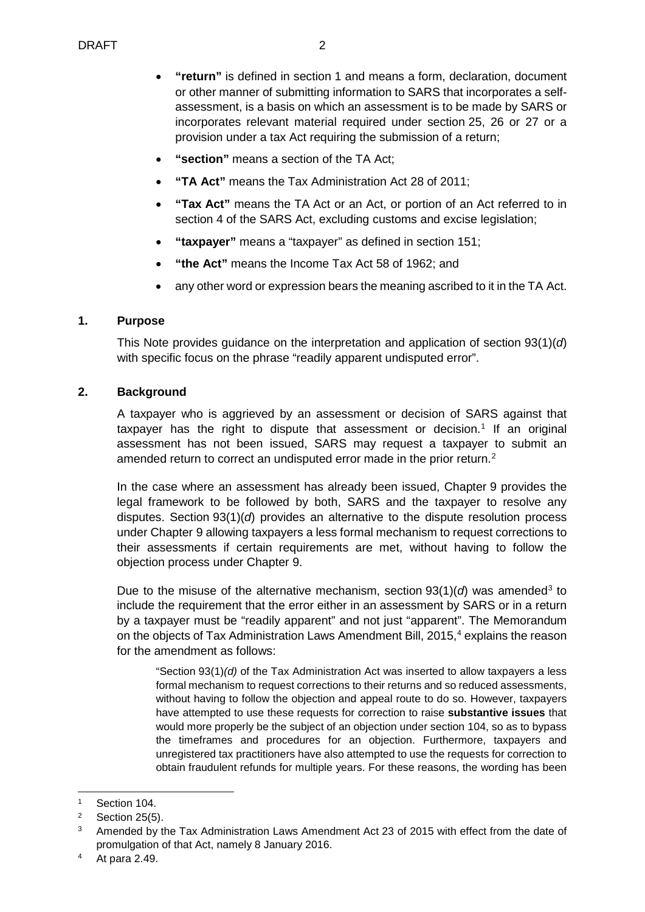- **"return"** is defined in section 1 and means a form, declaration, document or other manner of submitting information to SARS that incorporates a selfassessment, is a basis on which an assessment is to be made by SARS or incorporates relevant material required under section 25, 26 or 27 or a provision under a tax Act requiring the submission of a return;
- **"section"** means a section of the TA Act;
- **"TA Act"** means the Tax Administration Act 28 of 2011;
- **"Tax Act"** means the TA Act or an Act, or portion of an Act referred to in section 4 of the SARS Act, excluding customs and excise legislation;
- **"taxpayer"** means a "taxpayer" as defined in section 151;
- **"the Act"** means the Income Tax Act 58 of 1962; and
- any other word or expression bears the meaning ascribed to it in the TA Act.

## **1. Purpose**

This Note provides guidance on the interpretation and application of section 93(1)(*d*) with specific focus on the phrase "readily apparent undisputed error".

## **2. Background**

A taxpayer who is aggrieved by an assessment or decision of SARS against that taxpayer has the right to dispute that assessment or decision.<sup>[1](#page-1-0)</sup> If an original assessment has not been issued, SARS may request a taxpayer to submit an amended return to correct an undisputed error made in the prior return.<sup>[2](#page-1-1)</sup>

In the case where an assessment has already been issued, Chapter 9 provides the legal framework to be followed by both, SARS and the taxpayer to resolve any disputes. Section 93(1)(*d*) provides an alternative to the dispute resolution process under Chapter 9 allowing taxpayers a less formal mechanism to request corrections to their assessments if certain requirements are met, without having to follow the objection process under Chapter 9.

Due to the misuse of the alternative mechanism, section 9[3](#page-1-2)(1)(*d*) was amended<sup>3</sup> to include the requirement that the error either in an assessment by SARS or in a return by a taxpayer must be "readily apparent" and not just "apparent". The Memorandum on the objects of Tax Administration Laws Amendment Bill, 2015,<sup>[4](#page-1-3)</sup> explains the reason for the amendment as follows:

"Section 93(1)*(d)* of the Tax Administration Act was inserted to allow taxpayers a less formal mechanism to request corrections to their returns and so reduced assessments, without having to follow the objection and appeal route to do so. However, taxpayers have attempted to use these requests for correction to raise **substantive issues** that would more properly be the subject of an objection under section 104, so as to bypass the timeframes and procedures for an objection. Furthermore, taxpayers and unregistered tax practitioners have also attempted to use the requests for correction to obtain fraudulent refunds for multiple years. For these reasons, the wording has been

<span id="page-1-0"></span> <sup>1</sup> Section 104.

<span id="page-1-2"></span><span id="page-1-1"></span> $2^2$  Section 25(5).

Amended by the Tax Administration Laws Amendment Act 23 of 2015 with effect from the date of promulgation of that Act, namely 8 January 2016.

<span id="page-1-3"></span><sup>4</sup> At para 2.49.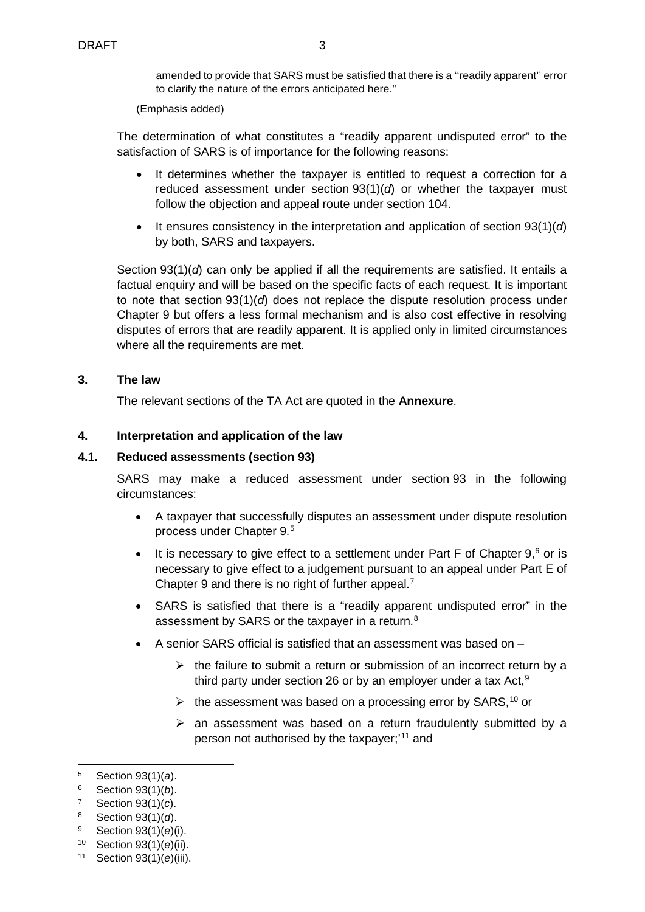amended to provide that SARS must be satisfied that there is a "readily apparent" error to clarify the nature of the errors anticipated here."

(Emphasis added)

The determination of what constitutes a "readily apparent undisputed error" to the satisfaction of SARS is of importance for the following reasons:

- It determines whether the taxpayer is entitled to request a correction for a reduced assessment under **section**  $93(1)(d)$  or whether the taxpayer must follow the objection and appeal route under section 104.
- It ensures consistency in the interpretation and application of section 93(1)(*d*) by both, SARS and taxpayers.

Section 93(1)(*d*) can only be applied if all the requirements are satisfied. It entails a factual enquiry and will be based on the specific facts of each request. It is important to note that section 93(1)(*d*) does not replace the dispute resolution process under Chapter 9 but offers a less formal mechanism and is also cost effective in resolving disputes of errors that are readily apparent. It is applied only in limited circumstances where all the requirements are met.

#### **3. The law**

The relevant sections of the TA Act are quoted in the **[Annexure](#page-14-0)**.

#### **4. Interpretation and application of the law**

#### **4.1. Reduced assessments (section 93)**

SARS may make a reduced assessment under section 93 in the following circumstances:

- A taxpayer that successfully disputes an assessment under dispute resolution process under Chapter 9.[5](#page-2-0)
- It is necessary to give effect to a settlement under Part F of Chapter  $9<sup>6</sup>$  $9<sup>6</sup>$  $9<sup>6</sup>$  or is necessary to give effect to a judgement pursuant to an appeal under Part E of Chapter 9 and there is no right of further appeal.<sup>[7](#page-2-2)</sup>
- SARS is satisfied that there is a "readily apparent undisputed error" in the assessment by SARS or the taxpayer in a return.<sup>[8](#page-2-3)</sup>
- A senior SARS official is satisfied that an assessment was based on
	- $\triangleright$  the failure to submit a return or submission of an incorrect return by a third party under section 26 or by an employer under a tax Act,<sup>[9](#page-2-4)</sup>
	- $\triangleright$  the assessment was based on a processing error by SARS, <sup>[10](#page-2-5)</sup> or
	- $\triangleright$  an assessment was based on a return fraudulently submitted by a person not authorised by the taxpayer;'[11](#page-2-6) and

<span id="page-2-0"></span> <sup>5</sup> Section 93(1)(*a*).

<span id="page-2-1"></span><sup>6</sup> Section 93(1)(*b*).

<span id="page-2-2"></span><sup>7</sup> Section 93(1)(*c*).

<span id="page-2-3"></span><sup>8</sup> Section 93(1)(*d*).

<span id="page-2-4"></span><sup>9</sup> Section 93(1)(*e*)(i).

<span id="page-2-5"></span><sup>10</sup> Section 93(1)(*e*)(ii).

<span id="page-2-6"></span><sup>11</sup> Section 93(1)(*e*)(iii).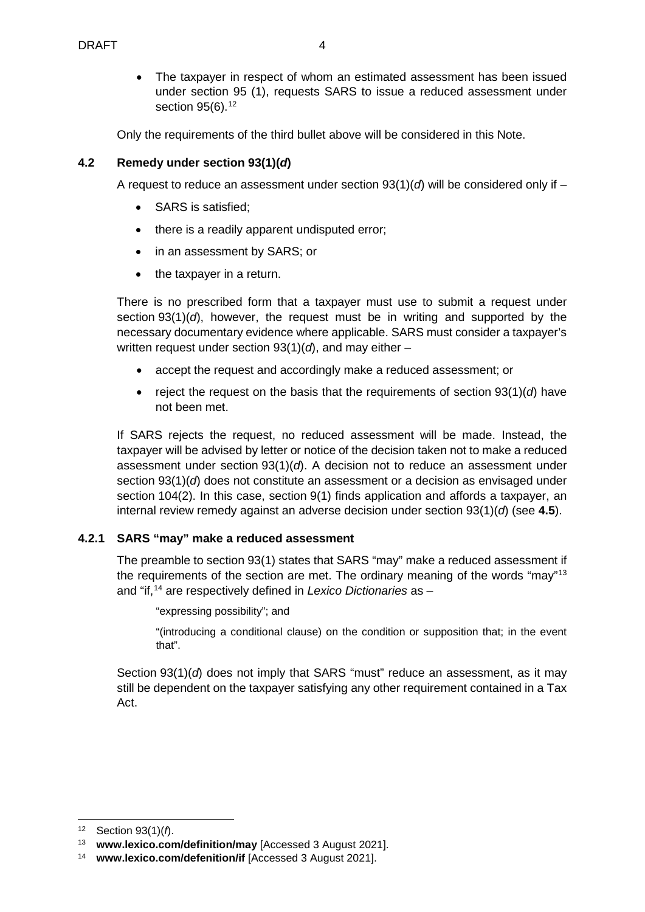The taxpayer in respect of whom an estimated assessment has been issued under section 95 (1), requests SARS to issue a reduced assessment under section 95(6).<sup>[12](#page-3-0)</sup>

Only the requirements of the third bullet above will be considered in this Note.

## **4.2 Remedy under section 93(1)(***d***)**

A request to reduce an assessment under section  $93(1)(d)$  will be considered only if –

- SARS is satisfied;
- there is a readily apparent undisputed error;
- in an assessment by SARS; or
- the taxpayer in a return.

There is no prescribed form that a taxpayer must use to submit a request under section 93(1)(*d*), however, the request must be in writing and supported by the necessary documentary evidence where applicable. SARS must consider a taxpayer's written request under section 93(1)(*d*), and may either –

- accept the request and accordingly make a reduced assessment; or
- reject the request on the basis that the requirements of section 93(1)(*d*) have not been met.

If SARS rejects the request, no reduced assessment will be made. Instead, the taxpayer will be advised by letter or notice of the decision taken not to make a reduced assessment under section 93(1)(*d*). A decision not to reduce an assessment under section 93(1)(*d*) does not constitute an assessment or a decision as envisaged under section 104(2). In this case, section 9(1) finds application and affords a taxpayer, an internal review remedy against an adverse decision under section 93(1)(*d*) (see **4.5**).

### **4.2.1 SARS "may" make a reduced assessment**

The preamble to section 93(1) states that SARS "may" make a reduced assessment if the requirements of the section are met. The ordinary meaning of the words "may"[13](#page-3-1) and "if, [14](#page-3-2) are respectively defined in *Lexico Dictionaries* as –

"expressing possibility"; and

"(introducing a conditional clause) on the condition or supposition that; in the event that".

Section 93(1)(*d*) does not imply that SARS "must" reduce an assessment, as it may still be dependent on the taxpayer satisfying any other requirement contained in a Tax Act.

<span id="page-3-0"></span> <sup>12</sup> Section 93(1)(*f*).

<span id="page-3-1"></span><sup>13</sup> **[www.lexico.com/definition/may](http://www.lexico.com/definition/may)** [Accessed 3 August 2021].

<span id="page-3-2"></span><sup>14</sup> **[www.lexico.com/defenition/if](http://www.lexico.com/defenition/if)** [Accessed 3 August 2021].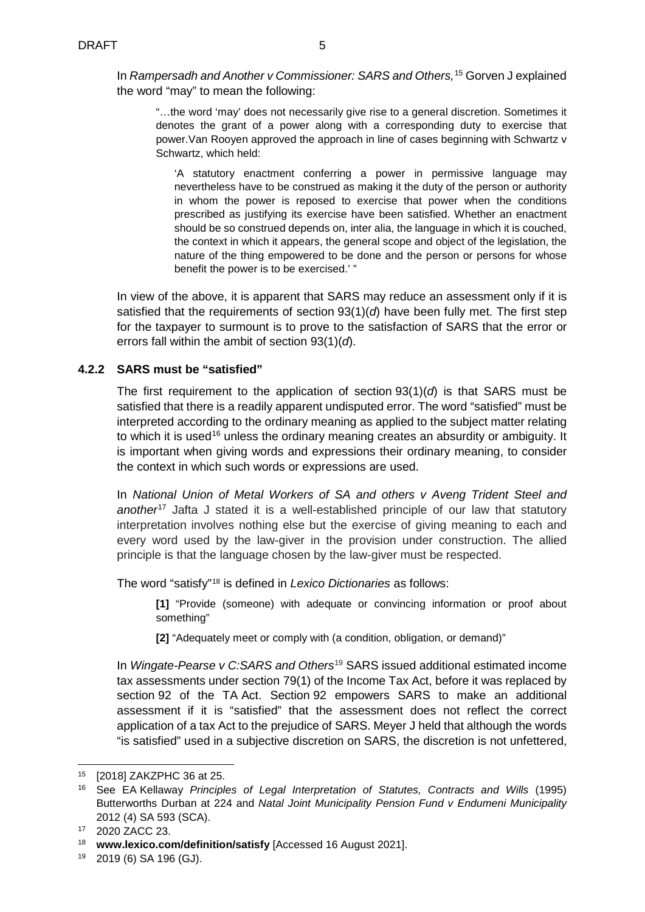In *Rampersadh and Another v Commissioner: SARS and Others,* [15](#page-4-0) Gorven J explained the word "may" to mean the following:

"…the word 'may' does not necessarily give rise to a general discretion. Sometimes it denotes the grant of a power along with a corresponding duty to exercise that power. Van Rooyen approved the approach in line of cases beginning with Schwartz v Schwartz, which held:

'A statutory enactment conferring a power in permissive language may nevertheless have to be construed as making it the duty of the person or authority in whom the power is reposed to exercise that power when the conditions prescribed as justifying its exercise have been satisfied. Whether an enactment should be so construed depends on, inter alia, the language in which it is couched, the context in which it appears, the general scope and object of the legislation, the nature of the thing empowered to be done and the person or persons for whose benefit the power is to be exercised.' "

In view of the above, it is apparent that SARS may reduce an assessment only if it is satisfied that the requirements of section 93(1)(*d*) have been fully met. The first step for the taxpayer to surmount is to prove to the satisfaction of SARS that the error or errors fall within the ambit of section 93(1)(*d*).

## **4.2.2 SARS must be "satisfied"**

The first requirement to the application of section  $93(1)(d)$  is that SARS must be satisfied that there is a readily apparent undisputed error. The word "satisfied" must be interpreted according to the ordinary meaning as applied to the subject matter relating to which it is used<sup>[16](#page-4-1)</sup> unless the ordinary meaning creates an absurdity or ambiguity. It is important when giving words and expressions their ordinary meaning, to consider the context in which such words or expressions are used.

In *National Union of Metal Workers of SA and others v Aveng Trident Steel and another*[17](#page-4-2) Jafta J stated it is a well-established principle of our law that statutory interpretation involves nothing else but the exercise of giving meaning to each and every word used by the law-giver in the provision under construction. The allied principle is that the language chosen by the law-giver must be respected.

The word "satisfy"[18](#page-4-3) is defined in *Lexico Dictionaries* as follows:

**[1]** "Provide (someone) with adequate or convincing information or proof about something"

**[2]** "Adequately meet or comply with (a condition, obligation, or demand)"

In *Wingate-Pearse v C:SARS and Others*[19](#page-4-4) SARS issued additional estimated income tax assessments under section 79(1) of the Income Tax Act, before it was replaced by section 92 of the TA Act. Section 92 empowers SARS to make an additional assessment if it is "satisfied" that the assessment does not reflect the correct application of a tax Act to the prejudice of SARS. Meyer J held that although the words "is satisfied" used in a subjective discretion on SARS, the discretion is not unfettered,

<span id="page-4-0"></span> <sup>15</sup> [2018] ZAKZPHC 36 at 25.

<span id="page-4-1"></span><sup>16</sup> See EA Kellaway *Principles of Legal Interpretation of Statutes, Contracts and Wills* (1995) Butterworths Durban at 224 and *Natal Joint Municipality Pension Fund v Endumeni Municipality* 2012 (4) SA 593 (SCA).

<span id="page-4-2"></span><sup>17</sup> 2020 ZACC 23.

<span id="page-4-3"></span><sup>18</sup> **[www.lexico.com/definition/satisfy](http://www.lexico.com/definition/satisf)** [Accessed 16 August 2021].

<span id="page-4-4"></span><sup>19</sup> 2019 (6) SA 196 (GJ).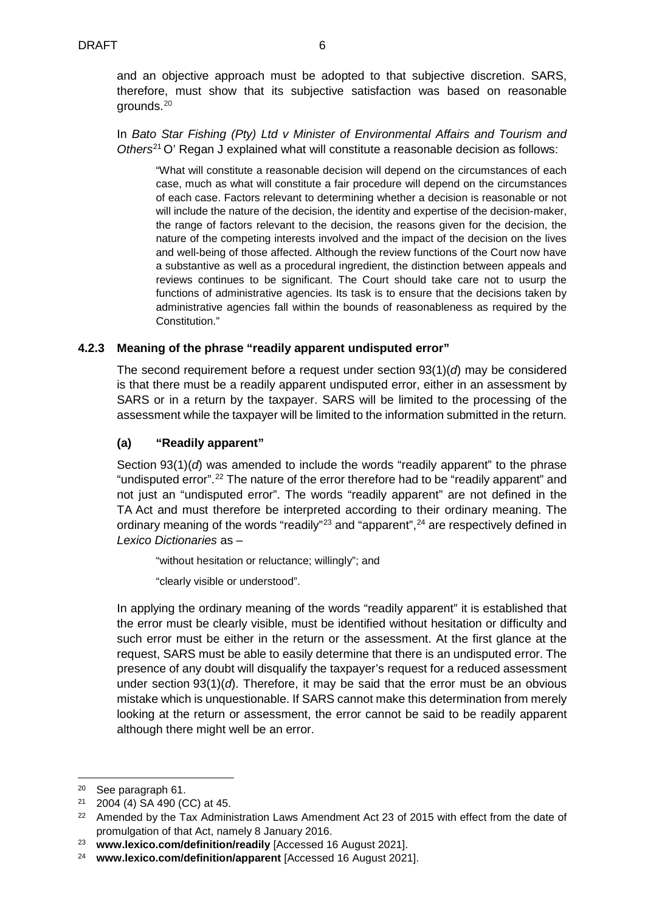and an objective approach must be adopted to that subjective discretion. SARS, therefore, must show that its subjective satisfaction was based on reasonable grounds.[20](#page-5-0)

In *Bato Star Fishing (Pty) Ltd v Minister of Environmental Affairs and Tourism and Others*[21](#page-5-1) O' Regan J explained what will constitute a reasonable decision as follows:

"What will constitute a reasonable decision will depend on the circumstances of each case, much as what will constitute a fair procedure will depend on the circumstances of each case. Factors relevant to determining whether a decision is reasonable or not will include the nature of the decision, the identity and expertise of the decision-maker, the range of factors relevant to the decision, the reasons given for the decision, the nature of the competing interests involved and the impact of the decision on the lives and well-being of those affected. Although the review functions of the Court now have a substantive as well as a procedural ingredient, the distinction between appeals and reviews continues to be significant. The Court should take care not to usurp the functions of administrative agencies. Its task is to ensure that the decisions taken by administrative agencies fall within the bounds of reasonableness as required by the Constitution."

### **4.2.3 Meaning of the phrase "readily apparent undisputed error"**

The second requirement before a request under section 93(1)(*d*) may be considered is that there must be a readily apparent undisputed error, either in an assessment by SARS or in a return by the taxpayer. SARS will be limited to the processing of the assessment while the taxpayer will be limited to the information submitted in the return.

### **(a) "Readily apparent"**

Section 93(1)(*d*) was amended to include the words "readily apparent" to the phrase "undisputed error".<sup>[22](#page-5-2)</sup> The nature of the error therefore had to be "readily apparent" and not just an "undisputed error". The words "readily apparent" are not defined in the TA Act and must therefore be interpreted according to their ordinary meaning. The ordinary meaning of the words "readily"<sup>[23](#page-5-3)</sup> and "apparent",<sup>[24](#page-5-4)</sup> are respectively defined in *Lexico Dictionaries* as –

"without hesitation or reluctance; willingly"; and

"clearly visible or understood".

In applying the ordinary meaning of the words "readily apparent" it is established that the error must be clearly visible, must be identified without hesitation or difficulty and such error must be either in the return or the assessment. At the first glance at the request, SARS must be able to easily determine that there is an undisputed error. The presence of any doubt will disqualify the taxpayer's request for a reduced assessment under section  $93(1)(d)$ . Therefore, it may be said that the error must be an obvious mistake which is unquestionable. If SARS cannot make this determination from merely looking at the return or assessment, the error cannot be said to be readily apparent although there might well be an error.

<span id="page-5-0"></span> <sup>20</sup> See paragraph 61.

<span id="page-5-1"></span><sup>21</sup> 2004 (4) SA 490 (CC) at 45.

<span id="page-5-2"></span><sup>&</sup>lt;sup>22</sup> Amended by the Tax Administration Laws Amendment Act 23 of 2015 with effect from the date of promulgation of that Act, namely 8 January 2016.

<span id="page-5-3"></span><sup>23</sup> **www.lexico.com/definition/readily** [Accessed 16 August 2021].

<span id="page-5-4"></span><sup>24</sup> **[www.lexico.com/definition/apparent](http://www.lexico.com/definition/apparent)** [Accessed 16 August 2021].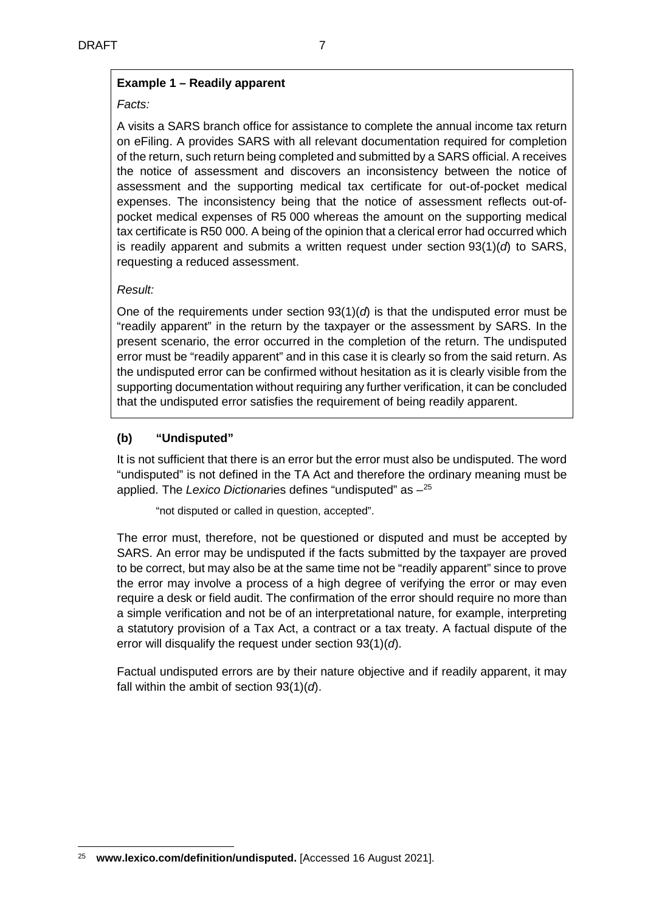# **Example 1 – Readily apparent**

### *Facts:*

A visits a SARS branch office for assistance to complete the annual income tax return on eFiling. A provides SARS with all relevant documentation required for completion of the return, such return being completed and submitted by a SARS official. A receives the notice of assessment and discovers an inconsistency between the notice of assessment and the supporting medical tax certificate for out-of-pocket medical expenses. The inconsistency being that the notice of assessment reflects out-ofpocket medical expenses of R5 000 whereas the amount on the supporting medical tax certificate is R50 000. A being of the opinion that a clerical error had occurred which is readily apparent and submits a written request under section 93(1)(*d*) to SARS, requesting a reduced assessment.

## *Result:*

One of the requirements under section  $93(1)(d)$  is that the undisputed error must be "readily apparent" in the return by the taxpayer or the assessment by SARS. In the present scenario, the error occurred in the completion of the return. The undisputed error must be "readily apparent" and in this case it is clearly so from the said return. As the undisputed error can be confirmed without hesitation as it is clearly visible from the supporting documentation without requiring any further verification, it can be concluded that the undisputed error satisfies the requirement of being readily apparent.

## **(b) "Undisputed"**

It is not sufficient that there is an error but the error must also be undisputed. The word "undisputed" is not defined in the TA Act and therefore the ordinary meaning must be applied. The *Lexico Dictionar*ies defines "undisputed" as –[25](#page-6-0)

"not disputed or called in question, accepted".

The error must, therefore, not be questioned or disputed and must be accepted by SARS. An error may be undisputed if the facts submitted by the taxpayer are proved to be correct, but may also be at the same time not be "readily apparent" since to prove the error may involve a process of a high degree of verifying the error or may even require a desk or field audit. The confirmation of the error should require no more than a simple verification and not be of an interpretational nature, for example, interpreting a statutory provision of a Tax Act, a contract or a tax treaty. A factual dispute of the error will disqualify the request under section 93(1)(*d*).

Factual undisputed errors are by their nature objective and if readily apparent, it may fall within the ambit of section 93(1)(*d*).

<span id="page-6-0"></span> <sup>25</sup> **[www.lexico.com/definition/undisputed.](http://www.lexico.com/definition/undisputed.)** [Accessed 16 August 2021].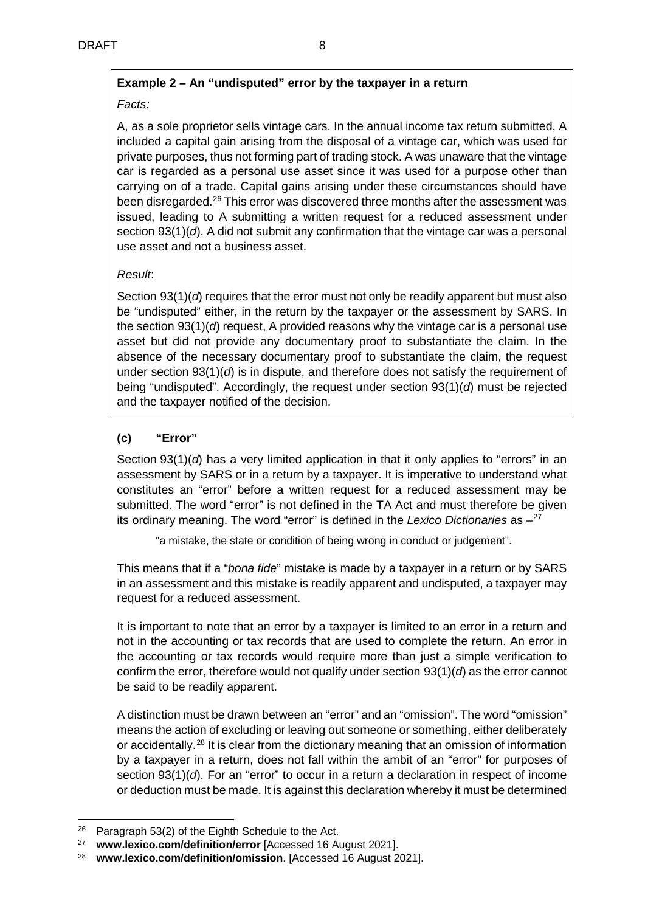# **Example 2 – An "undisputed" error by the taxpayer in a return**

# *Facts:*

A, as a sole proprietor sells vintage cars. In the annual income tax return submitted, A included a capital gain arising from the disposal of a vintage car, which was used for private purposes, thus not forming part of trading stock. A was unaware that the vintage car is regarded as a personal use asset since it was used for a purpose other than carrying on of a trade. Capital gains arising under these circumstances should have been disregarded.[26](#page-7-0) This error was discovered three months after the assessment was issued, leading to A submitting a written request for a reduced assessment under section 93(1)(*d*). A did not submit any confirmation that the vintage car was a personal use asset and not a business asset.

# *Result*:

Section 93(1)(*d*) requires that the error must not only be readily apparent but must also be "undisputed" either, in the return by the taxpayer or the assessment by SARS. In the section 93(1)(*d*) request, A provided reasons why the vintage car is a personal use asset but did not provide any documentary proof to substantiate the claim. In the absence of the necessary documentary proof to substantiate the claim, the request under section 93(1)(*d*) is in dispute, and therefore does not satisfy the requirement of being "undisputed". Accordingly, the request under section 93(1)(*d*) must be rejected and the taxpayer notified of the decision.

# **(c) "Error"**

Section 93(1)(*d*) has a very limited application in that it only applies to "errors" in an assessment by SARS or in a return by a taxpayer. It is imperative to understand what constitutes an "error" before a written request for a reduced assessment may be submitted. The word "error" is not defined in the TA Act and must therefore be given its ordinary meaning. The word "error" is defined in the *Lexico Dictionaries* as [–27](#page-7-1)

"a mistake, the state or condition of being wrong in conduct or judgement".

This means that if a "*bona fide*" mistake is made by a taxpayer in a return or by SARS in an assessment and this mistake is readily apparent and undisputed, a taxpayer may request for a reduced assessment.

It is important to note that an error by a taxpayer is limited to an error in a return and not in the accounting or tax records that are used to complete the return. An error in the accounting or tax records would require more than just a simple verification to confirm the error, therefore would not qualify under section 93(1)(*d*) as the error cannot be said to be readily apparent.

A distinction must be drawn between an "error" and an "omission". The word "omission" means the action of excluding or leaving out someone or something, either deliberately or accidentally.[28](#page-7-2) It is clear from the dictionary meaning that an omission of information by a taxpayer in a return, does not fall within the ambit of an "error" for purposes of section 93(1)(*d*). For an "error" to occur in a return a declaration in respect of income or deduction must be made. It is against this declaration whereby it must be determined

<span id="page-7-0"></span><sup>&</sup>lt;sup>26</sup> Paragraph 53(2) of the Eighth Schedule to the Act.

<span id="page-7-1"></span><sup>27</sup> **[www.lexico.com/definition/error](http://www.lexico.com/definition/error)** [Accessed 16 August 2021].

<span id="page-7-2"></span><sup>28</sup> **[www.lexico.com/definition/omission](http://www.lexico.com/definition/omission)**. [Accessed 16 August 2021].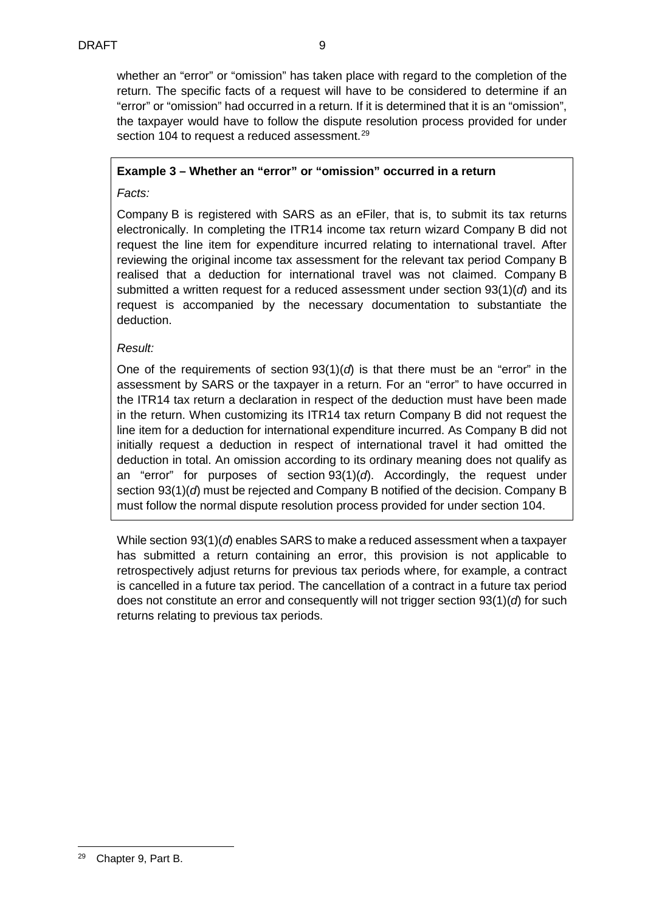whether an "error" or "omission" has taken place with regard to the completion of the return. The specific facts of a request will have to be considered to determine if an "error" or "omission" had occurred in a return. If it is determined that it is an "omission", the taxpayer would have to follow the dispute resolution process provided for under section 104 to request a reduced assessment.<sup>[29](#page-8-0)</sup>

## **Example 3 – Whether an "error" or "omission" occurred in a return**

*Facts:*

Company B is registered with SARS as an eFiler, that is, to submit its tax returns electronically. In completing the ITR14 income tax return wizard Company B did not request the line item for expenditure incurred relating to international travel. After reviewing the original income tax assessment for the relevant tax period Company B realised that a deduction for international travel was not claimed. Company B submitted a written request for a reduced assessment under section 93(1)(*d*) and its request is accompanied by the necessary documentation to substantiate the deduction.

## *Result:*

One of the requirements of section  $93(1)(d)$  is that there must be an "error" in the assessment by SARS or the taxpayer in a return. For an "error" to have occurred in the ITR14 tax return a declaration in respect of the deduction must have been made in the return. When customizing its ITR14 tax return Company B did not request the line item for a deduction for international expenditure incurred. As Company B did not initially request a deduction in respect of international travel it had omitted the deduction in total. An omission according to its ordinary meaning does not qualify as an "error" for purposes of section 93(1)(*d*). Accordingly, the request under section 93(1)(*d*) must be rejected and Company B notified of the decision. Company B must follow the normal dispute resolution process provided for under section 104.

While section 93(1)(*d*) enables SARS to make a reduced assessment when a taxpayer has submitted a return containing an error, this provision is not applicable to retrospectively adjust returns for previous tax periods where, for example, a contract is cancelled in a future tax period. The cancellation of a contract in a future tax period does not constitute an error and consequently will not trigger section 93(1)(*d*) for such returns relating to previous tax periods.

<span id="page-8-0"></span> <sup>29</sup> Chapter 9, Part B.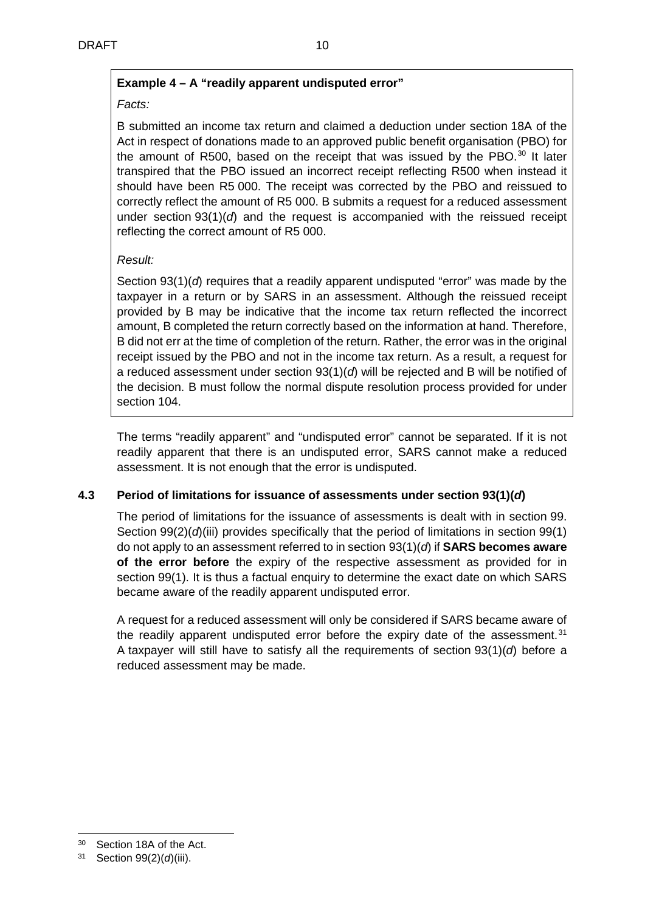# **Example 4 – A "readily apparent undisputed error"**

## *Facts:*

B submitted an income tax return and claimed a deduction under section 18A of the Act in respect of donations made to an approved public benefit organisation (PBO) for the amount of R500, based on the receipt that was issued by the PBO.<sup>[30](#page-9-0)</sup> It later transpired that the PBO issued an incorrect receipt reflecting R500 when instead it should have been R5 000. The receipt was corrected by the PBO and reissued to correctly reflect the amount of R5 000. B submits a request for a reduced assessment under section 93(1)(*d*) and the request is accompanied with the reissued receipt reflecting the correct amount of R5 000.

## *Result:*

Section 93(1)(*d*) requires that a readily apparent undisputed "error" was made by the taxpayer in a return or by SARS in an assessment. Although the reissued receipt provided by B may be indicative that the income tax return reflected the incorrect amount, B completed the return correctly based on the information at hand. Therefore, B did not err at the time of completion of the return. Rather, the error was in the original receipt issued by the PBO and not in the income tax return. As a result, a request for a reduced assessment under section 93(1)(*d*) will be rejected and B will be notified of the decision. B must follow the normal dispute resolution process provided for under section 104.

The terms "readily apparent" and "undisputed error" cannot be separated. If it is not readily apparent that there is an undisputed error, SARS cannot make a reduced assessment. It is not enough that the error is undisputed.

## **4.3 Period of limitations for issuance of assessments under section 93(1)(***d***)**

The period of limitations for the issuance of assessments is dealt with in section 99. Section 99(2)(*d*)(iii) provides specifically that the period of limitations in section 99(1) do not apply to an assessment referred to in section 93(1)(*d*) if **SARS becomes aware of the error before** the expiry of the respective assessment as provided for in section 99(1). It is thus a factual enquiry to determine the exact date on which SARS became aware of the readily apparent undisputed error.

A request for a reduced assessment will only be considered if SARS became aware of the readily apparent undisputed error before the expiry date of the assessment. $31$ A taxpayer will still have to satisfy all the requirements of section 93(1)(*d*) before a reduced assessment may be made.

<span id="page-9-0"></span> <sup>30</sup> Section 18A of the Act.

<span id="page-9-1"></span><sup>31</sup> Section 99(2)(*d*)(iii).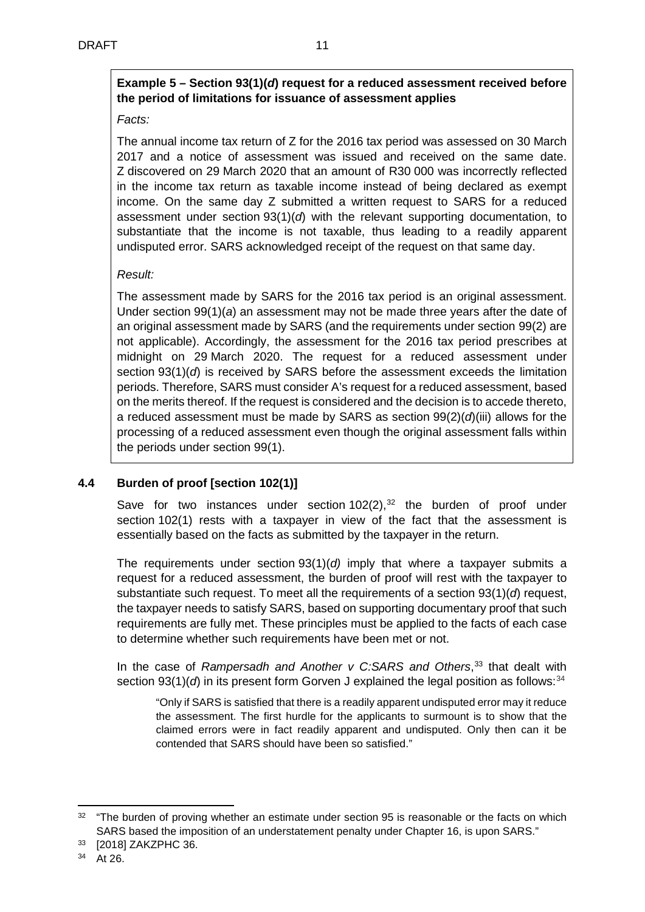# **Example 5 – Section 93(1)(***d***) request for a reduced assessment received before the period of limitations for issuance of assessment applies**

## *Facts:*

The annual income tax return of Z for the 2016 tax period was assessed on 30 March 2017 and a notice of assessment was issued and received on the same date. Z discovered on 29 March 2020 that an amount of R30 000 was incorrectly reflected in the income tax return as taxable income instead of being declared as exempt income. On the same day Z submitted a written request to SARS for a reduced assessment under section 93(1)(*d*) with the relevant supporting documentation, to substantiate that the income is not taxable, thus leading to a readily apparent undisputed error. SARS acknowledged receipt of the request on that same day.

# *Result:*

The assessment made by SARS for the 2016 tax period is an original assessment. Under section 99(1)(*a*) an assessment may not be made three years after the date of an original assessment made by SARS (and the requirements under section 99(2) are not applicable). Accordingly, the assessment for the 2016 tax period prescribes at midnight on 29 March 2020. The request for a reduced assessment under section 93(1)(*d*) is received by SARS before the assessment exceeds the limitation periods. Therefore, SARS must consider A's request for a reduced assessment, based on the merits thereof. If the request is considered and the decision is to accede thereto, a reduced assessment must be made by SARS as section 99(2)(*d*)(iii) allows for the processing of a reduced assessment even though the original assessment falls within the periods under section 99(1).

# **4.4 Burden of proof [section 102(1)]**

Save for two instances under section  $102(2)$ ,  $32$  the burden of proof under section 102(1) rests with a taxpayer in view of the fact that the assessment is essentially based on the facts as submitted by the taxpayer in the return.

The requirements under section 93(1)(*d)* imply that where a taxpayer submits a request for a reduced assessment, the burden of proof will rest with the taxpayer to substantiate such request. To meet all the requirements of a section 93(1)(*d*) request, the taxpayer needs to satisfy SARS, based on supporting documentary proof that such requirements are fully met. These principles must be applied to the facts of each case to determine whether such requirements have been met or not.

In the case of *Rampersadh and Another v C:SARS and Others*, [33](#page-10-1) that dealt with section 93(1)( $d$ ) in its present form Gorven J explained the legal position as follows:<sup>[34](#page-10-2)</sup>

"Only if SARS is satisfied that there is a readily apparent undisputed error may it reduce the assessment. The first hurdle for the applicants to surmount is to show that the claimed errors were in fact readily apparent and undisputed. Only then can it be contended that SARS should have been so satisfied."

<span id="page-10-0"></span><sup>&</sup>lt;sup>32</sup> "The burden of proving whether an estimate under section 95 is reasonable or the facts on which SARS based the imposition of an understatement penalty under Chapter 16, is upon SARS."

<span id="page-10-2"></span><span id="page-10-1"></span><sup>33</sup> [2018] ZAKZPHC 36.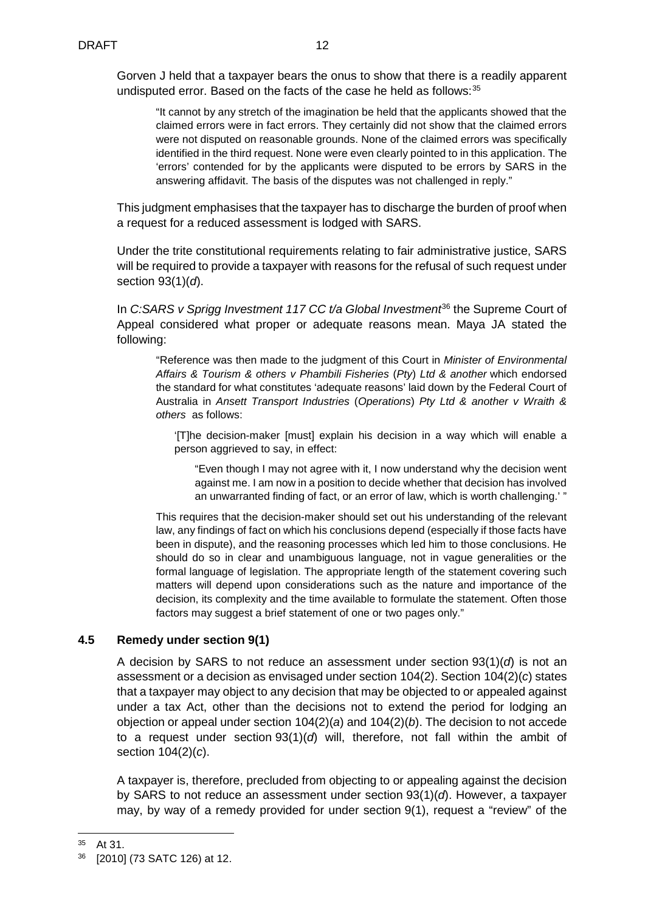Gorven J held that a taxpayer bears the onus to show that there is a readily apparent undisputed error. Based on the facts of the case he held as follows:<sup>[35](#page-11-0)</sup>

"It cannot by any stretch of the imagination be held that the applicants showed that the claimed errors were in fact errors. They certainly did not show that the claimed errors were not disputed on reasonable grounds. None of the claimed errors was specifically identified in the third request. None were even clearly pointed to in this application. The 'errors' contended for by the applicants were disputed to be errors by SARS in the answering affidavit. The basis of the disputes was not challenged in reply."

This judgment emphasises that the taxpayer has to discharge the burden of proof when a request for a reduced assessment is lodged with SARS.

Under the trite constitutional requirements relating to fair administrative justice, SARS will be required to provide a taxpayer with reasons for the refusal of such request under section 93(1)(*d*).

In *C:SARS v Sprigg Investment 117 CC t/a Global Investment*<sup>[36](#page-11-1)</sup> the Supreme Court of Appeal considered what proper or adequate reasons mean. Maya JA stated the following:

"Reference was then made to the judgment of this Court in *Minister of Environmental Affairs & Tourism & others v Phambili Fisheries* (*Pty*) *Ltd & another* which endorsed the standard for what constitutes 'adequate reasons' laid down by the Federal Court of Australia in *Ansett Transport Industries* (*Operations*) *Pty Ltd & another v Wraith & others* as follows:

'[T]he decision-maker [must] explain his decision in a way which will enable a person aggrieved to say, in effect:

"Even though I may not agree with it, I now understand why the decision went against me. I am now in a position to decide whether that decision has involved an unwarranted finding of fact, or an error of law, which is worth challenging.' "

This requires that the decision-maker should set out his understanding of the relevant law, any findings of fact on which his conclusions depend (especially if those facts have been in dispute), and the reasoning processes which led him to those conclusions. He should do so in clear and unambiguous language, not in vague generalities or the formal language of legislation. The appropriate length of the statement covering such matters will depend upon considerations such as the nature and importance of the decision, its complexity and the time available to formulate the statement. Often those factors may suggest a brief statement of one or two pages only."

### **4.5 Remedy under section 9(1)**

A decision by SARS to not reduce an assessment under section 93(1)(*d*) is not an assessment or a decision as envisaged under section 104(2). Section 104(2)(*c*) states that a taxpayer may object to any decision that may be objected to or appealed against under a tax Act, other than the decisions not to extend the period for lodging an objection or appeal under section 104(2)(*a*) and 104(2)(*b*). The decision to not accede to a request under section 93(1)(*d*) will, therefore, not fall within the ambit of section 104(2)(*c*).

A taxpayer is, therefore, precluded from objecting to or appealing against the decision by SARS to not reduce an assessment under section 93(1)(*d*). However, a taxpayer may, by way of a remedy provided for under section 9(1), request a "review" of the

<span id="page-11-0"></span> <sup>35</sup> At 31.

<span id="page-11-1"></span><sup>36</sup> [2010] (73 SATC 126) at 12.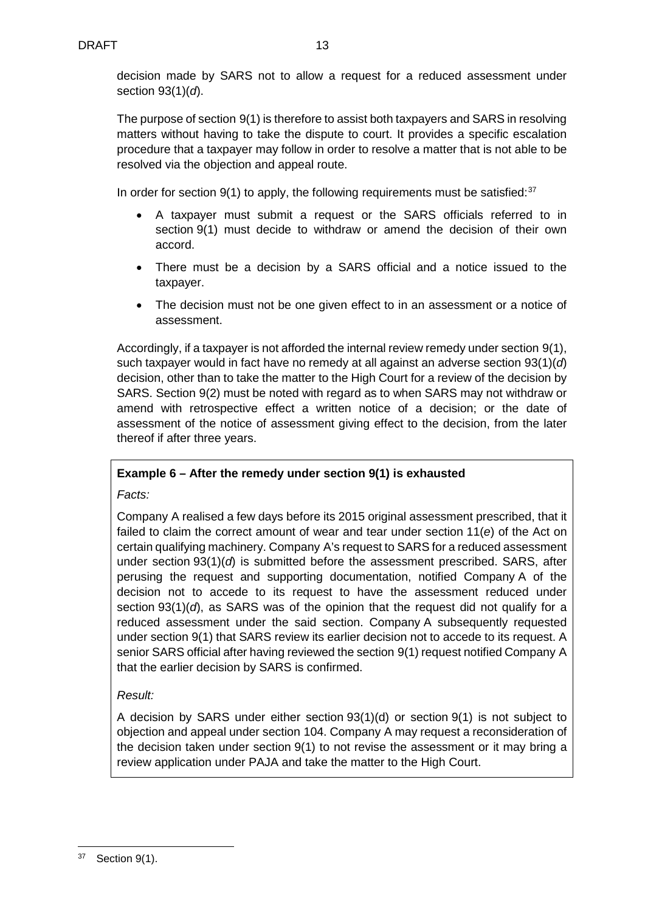decision made by SARS not to allow a request for a reduced assessment under section 93(1)(*d*).

The purpose of section 9(1) is therefore to assist both taxpayers and SARS in resolving matters without having to take the dispute to court. It provides a specific escalation procedure that a taxpayer may follow in order to resolve a matter that is not able to be resolved via the objection and appeal route.

In order for section  $9(1)$  to apply, the following requirements must be satisfied:  $37$ 

- A taxpayer must submit a request or the SARS officials referred to in section 9(1) must decide to withdraw or amend the decision of their own accord.
- There must be a decision by a SARS official and a notice issued to the taxpayer.
- The decision must not be one given effect to in an assessment or a notice of assessment.

Accordingly, if a taxpayer is not afforded the internal review remedy under section 9(1), such taxpayer would in fact have no remedy at all against an adverse section 93(1)(*d*) decision, other than to take the matter to the High Court for a review of the decision by SARS. Section 9(2) must be noted with regard as to when SARS may not withdraw or amend with retrospective effect a written notice of a decision; or the date of assessment of the notice of assessment giving effect to the decision, from the later thereof if after three years.

## **Example 6 – After the remedy under section 9(1) is exhausted**

*Facts:*

Company A realised a few days before its 2015 original assessment prescribed, that it failed to claim the correct amount of wear and tear under section 11(*e*) of the Act on certain qualifying machinery. Company A's request to SARS for a reduced assessment under section 93(1)(*d*) is submitted before the assessment prescribed. SARS, after perusing the request and supporting documentation, notified Company A of the decision not to accede to its request to have the assessment reduced under section 93(1)(*d*), as SARS was of the opinion that the request did not qualify for a reduced assessment under the said section. Company A subsequently requested under section 9(1) that SARS review its earlier decision not to accede to its request. A senior SARS official after having reviewed the section 9(1) request notified Company A that the earlier decision by SARS is confirmed.

## *Result:*

A decision by SARS under either section 93(1)(d) or section 9(1) is not subject to objection and appeal under section 104. Company A may request a reconsideration of the decision taken under section 9(1) to not revise the assessment or it may bring a review application under PAJA and take the matter to the High Court.

<span id="page-12-0"></span> <sup>37</sup> Section 9(1).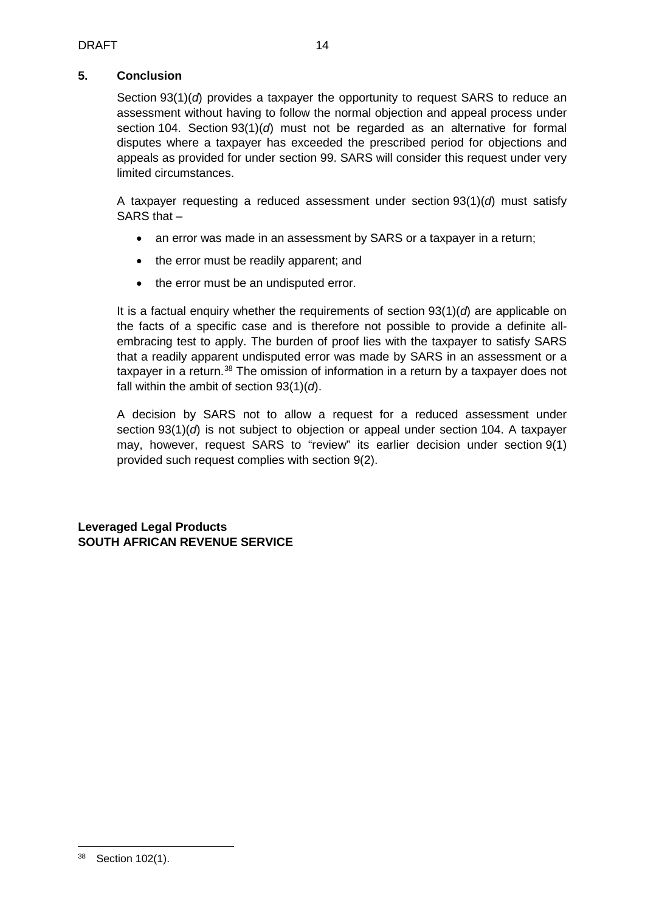# **5. Conclusion**

Section 93(1)(*d*) provides a taxpayer the opportunity to request SARS to reduce an assessment without having to follow the normal objection and appeal process under section 104. Section 93(1)(*d*) must not be regarded as an alternative for formal disputes where a taxpayer has exceeded the prescribed period for objections and appeals as provided for under section 99. SARS will consider this request under very limited circumstances.

A taxpayer requesting a reduced assessment under section 93(1)(*d*) must satisfy SARS that –

- an error was made in an assessment by SARS or a taxpayer in a return;
- the error must be readily apparent; and
- the error must be an undisputed error.

It is a factual enquiry whether the requirements of section 93(1)(*d*) are applicable on the facts of a specific case and is therefore not possible to provide a definite allembracing test to apply. The burden of proof lies with the taxpayer to satisfy SARS that a readily apparent undisputed error was made by SARS in an assessment or a taxpayer in a return.<sup>[38](#page-13-0)</sup> The omission of information in a return by a taxpayer does not fall within the ambit of section 93(1)(*d*).

A decision by SARS not to allow a request for a reduced assessment under section 93(1)(*d*) is not subject to objection or appeal under section 104. A taxpayer may, however, request SARS to "review" its earlier decision under section 9(1) provided such request complies with section 9(2).

**Leveraged Legal Products SOUTH AFRICAN REVENUE SERVICE**

<span id="page-13-0"></span> <sup>38</sup> Section 102(1).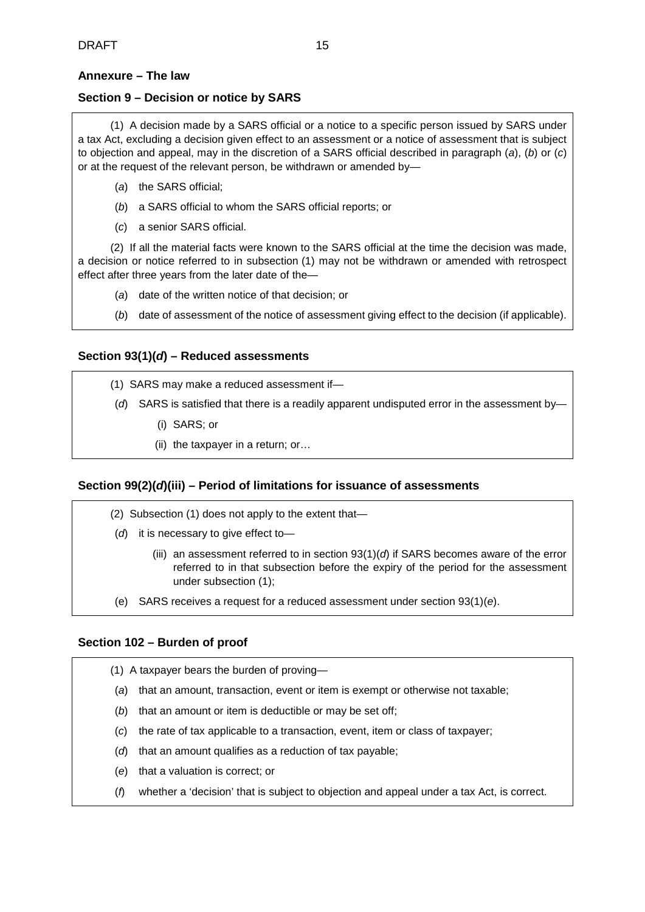### <span id="page-14-0"></span>**Annexure – The law**

### **Section 9 – Decision or notice by SARS**

(1) A decision made by a SARS official or a notice to a specific person issued by SARS under a tax Act, excluding a decision given effect to an assessment or a notice of assessment that is subject to objection and appeal, may in the discretion of a SARS official described in paragraph (*a*), (*b*) or (*c*) or at the request of the relevant person, be withdrawn or amended by—

- (*a*) the SARS official;
- (*b*) a SARS official to whom the SARS official reports; or
- (*c*) a senior SARS official.

(2) If all the material facts were known to the SARS official at the time the decision was made, a decision or notice referred to in subsection (1) may not be withdrawn or amended with retrospect effect after three years from the later date of the—

- (*a*) date of the written notice of that decision; or
- (*b*) date of assessment of the notice of assessment giving effect to the decision (if applicable).

### **Section 93(1)(***d***) – Reduced assessments**

- (1) SARS may make a reduced assessment if—
- (*d*) SARS is satisfied that there is a readily apparent undisputed error in the assessment by—
	- (i) SARS; or
	- (ii) the taxpayer in a return; or…

### **Section 99(2)(***d***)(iii) – Period of limitations for issuance of assessments**

- (2) Subsection (1) does not apply to the extent that—
- (*d*) it is necessary to give effect to—
	- (iii) an assessment referred to in section 93(1)(*d*) if SARS becomes aware of the error referred to in that subsection before the expiry of the period for the assessment under subsection (1);
- (e) SARS receives a request for a reduced assessment under section 93(1)(*e*).

### **Section 102 – Burden of proof**

- (1) A taxpayer bears the burden of proving—
- (*a*) that an amount, transaction, event or item is exempt or otherwise not taxable;
- (*b*) that an amount or item is deductible or may be set off;
- (*c*) the rate of tax applicable to a transaction, event, item or class of taxpayer;
- (*d*) that an amount qualifies as a reduction of tax payable;
- (*e*) that a valuation is correct; or
- (*f*) whether a 'decision' that is subject to objection and appeal under a tax Act, is correct.